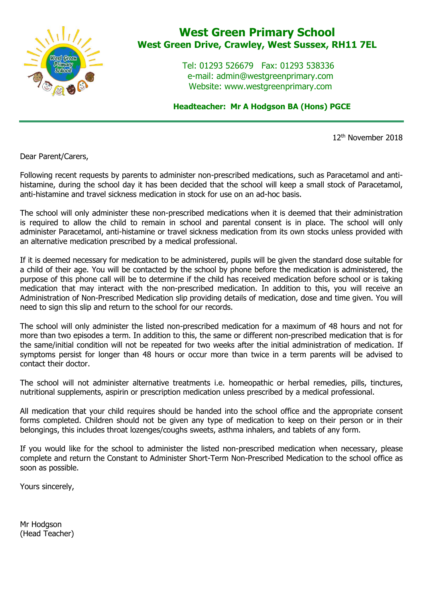

## **West Green Primary School West Green Drive, Crawley, West Sussex, RH11 7EL**

 Tel: 01293 526679 Fax: 01293 538336 e-mail: admin@westgreenprimary.com Website: www.westgreenprimary.com

 **Headteacher: Mr A Hodgson BA (Hons) PGCE**

12th November 2018

Dear Parent/Carers,

Following recent requests by parents to administer non-prescribed medications, such as Paracetamol and antihistamine, during the school day it has been decided that the school will keep a small stock of Paracetamol, anti-histamine and travel sickness medication in stock for use on an ad-hoc basis.

The school will only administer these non-prescribed medications when it is deemed that their administration is required to allow the child to remain in school and parental consent is in place. The school will only administer Paracetamol, anti-histamine or travel sickness medication from its own stocks unless provided with an alternative medication prescribed by a medical professional.

If it is deemed necessary for medication to be administered, pupils will be given the standard dose suitable for a child of their age. You will be contacted by the school by phone before the medication is administered, the purpose of this phone call will be to determine if the child has received medication before school or is taking medication that may interact with the non-prescribed medication. In addition to this, you will receive an Administration of Non-Prescribed Medication slip providing details of medication, dose and time given. You will need to sign this slip and return to the school for our records.

The school will only administer the listed non-prescribed medication for a maximum of 48 hours and not for more than two episodes a term. In addition to this, the same or different non-prescribed medication that is for the same/initial condition will not be repeated for two weeks after the initial administration of medication. If symptoms persist for longer than 48 hours or occur more than twice in a term parents will be advised to contact their doctor.

The school will not administer alternative treatments i.e. homeopathic or herbal remedies, pills, tinctures, nutritional supplements, aspirin or prescription medication unless prescribed by a medical professional.

All medication that your child requires should be handed into the school office and the appropriate consent forms completed. Children should not be given any type of medication to keep on their person or in their belongings, this includes throat lozenges/coughs sweets, asthma inhalers, and tablets of any form.

If you would like for the school to administer the listed non-prescribed medication when necessary, please complete and return the Constant to Administer Short-Term Non-Prescribed Medication to the school office as soon as possible.

Yours sincerely,

Mr Hodgson (Head Teacher)